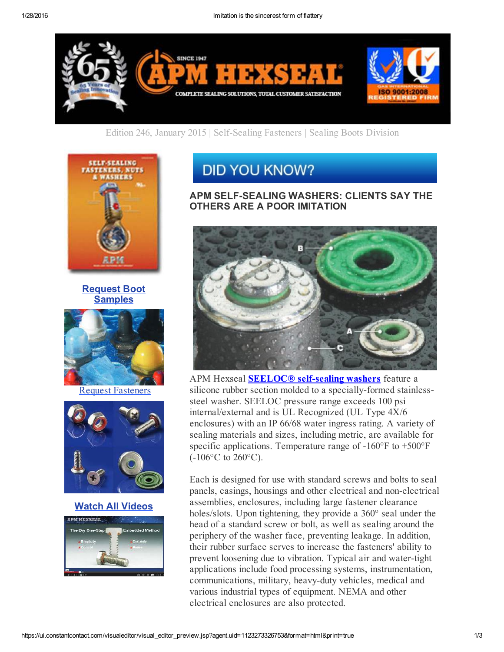

Edition 246, January 2015 | Self-Sealing Fasteners | Sealing Boots Division



### Request Boot **Samples**



Request Fasteners



#### Watch All Videos



# **DID YOU KNOW?**

#### APM SELF-SEALING WASHERS: CLIENTS SAY THE OTHERS ARE A POOR IMITATION



APM Hexseal **SEELOC®** self-sealing washers feature a silicone rubber section molded to a specially-formed stainlesssteel washer. SEELOC pressure range exceeds 100 psi internal/external and is UL Recognized (UL Type 4X/6 enclosures) with an IP 66/68 water ingress rating. A variety of sealing materials and sizes, including metric, are available for specific applications. Temperature range of  $-160^{\circ}$ F to  $+500^{\circ}$ F  $(-106^{\circ}C \text{ to } 260^{\circ}C).$ 

Each is designed for use with standard screws and bolts to seal panels, casings, housings and other electrical and nonelectrical assemblies, enclosures, including large fastener clearance holes/slots. Upon tightening, they provide a 360° seal under the head of a standard screw or bolt, as well as sealing around the periphery of the washer face, preventing leakage. In addition, their rubber surface serves to increase the fasteners' ability to prevent loosening due to vibration. Typical air and water-tight applications include food processing systems, instrumentation, communications, military, heavy-duty vehicles, medical and various industrial types of equipment. NEMA and other electrical enclosures are also protected.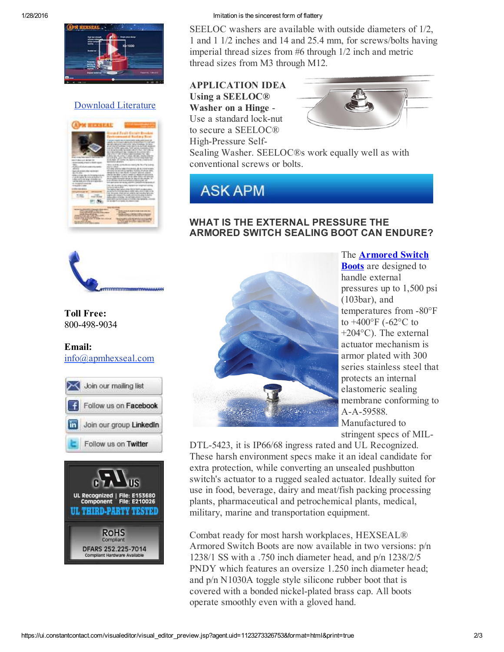

# Download Literature



#### 1/28/2016 Imitation is the sincerest form of flattery

SEELOC washers are available with outside diameters of 1/2, 1 and 1 1/2 inches and 14 and 25.4 mm, for screws/bolts having imperial thread sizes from #6 through 1/2 inch and metric thread sizes from M3 through M12.

#### APPLICATION IDEA Using a SEELOC® Washer on a Hinge Use a standard lock-nut to secure a SEELOC®



High-Pressure Self-Sealing Washer. SEELOC®s work equally well as with conventional screws or bolts.



## WHAT IS THE EXTERNAL PRESSURE THE ARMORED SWITCH SEALING BOOT CAN ENDURE?



Toll Free: 800-498-9034

#### Email: info@apmhexseal.com







The Armored Switch Boots are designed to handle external pressures up to 1,500 psi (103bar), and temperatures from -80°F to  $+400^{\circ}$ F (-62 $^{\circ}$ C to +204°C). The external actuator mechanism is armor plated with 300 series stainless steel that protects an internal elastomeric sealing membrane conforming to A-A-59588. Manufactured to stringent specs of MIL-

DTL-5423, it is IP66/68 ingress rated and UL Recognized. These harsh environment specs make it an ideal candidate for extra protection, while converting an unsealed pushbutton switch's actuator to a rugged sealed actuator. Ideally suited for use in food, beverage, dairy and meat/fish packing processing plants, pharmaceutical and petrochemical plants, medical, military, marine and transportation equipment.

Combat ready for most harsh workplaces, HEXSEAL® Armored Switch Boots are now available in two versions: p/n 1238/1 SS with a .750 inch diameter head, and p/n 1238/2/5 PNDY which features an oversize 1.250 inch diameter head; and p/n N1030A toggle style silicone rubber boot that is covered with a bonded nickel-plated brass cap. All boots operate smoothly even with a gloved hand.